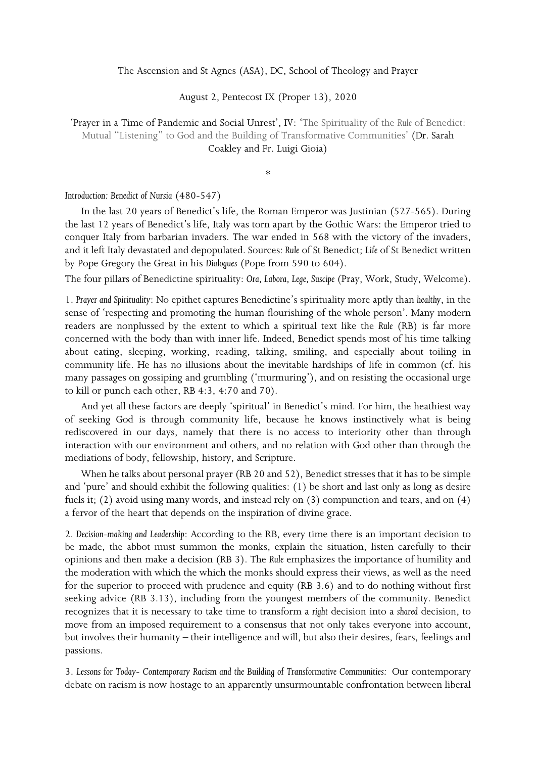The Ascension and St Agnes (ASA), DC, School of Theology and Prayer

August 2, Pentecost IX (Proper 13), 2020

'Prayer in a Time of Pandemic and Social Unrest', IV: 'The Spirituality of the *Rule* of Benedict: Mutual "Listening" to God and the Building of Transformative Communities' (Dr. Sarah Coakley and Fr. Luigi Gioia)

\*

## *Introduction: Benedict of Nursia* (480-547)

In the last 20 years of Benedict's life, the Roman Emperor was Justinian (527-565). During the last 12 years of Benedict's life, Italy was torn apart by the Gothic Wars: the Emperor tried to conquer Italy from barbarian invaders. The war ended in 568 with the victory of the invaders, and it left Italy devastated and depopulated. Sources*: Rule* of St Benedict; *Life* of St Benedict written by Pope Gregory the Great in his *Dialogues* (Pope from 590 to 604).

The four pillars of Benedictine spirituality: *Ora, Labora, Lege, Suscipe* (Pray, Work, Study, Welcome).

1. *Prayer and Spirituality*: No epithet captures Benedictine's spirituality more aptly than *healthy*, in the sense of 'respecting and promoting the human flourishing of the whole person'. Many modern readers are nonplussed by the extent to which a spiritual text like the *Rule* (RB) is far more concerned with the body than with inner life. Indeed, Benedict spends most of his time talking about eating, sleeping, working, reading, talking, smiling, and especially about toiling in community life. He has no illusions about the inevitable hardships of life in common (cf. his many passages on gossiping and grumbling ('murmuring'), and on resisting the occasional urge to kill or punch each other, RB 4:3, 4:70 and 70).

And yet all these factors are deeply 'spiritual' in Benedict's mind. For him, the heathiest way of seeking God is through community life, because he knows instinctively what is being rediscovered in our days, namely that there is no access to interiority other than through interaction with our environment and others, and no relation with God other than through the mediations of body, fellowship, history, and Scripture.

When he talks about personal prayer (RB 20 and 52), Benedict stresses that it has to be simple and 'pure' and should exhibit the following qualities: (1) be short and last only as long as desire fuels it; (2) avoid using many words, and instead rely on (3) compunction and tears, and on (4) a fervor of the heart that depends on the inspiration of divine grace.

2*. Decision-making and Leadership*: According to the RB, every time there is an important decision to be made, the abbot must summon the monks, explain the situation, listen carefully to their opinions and then make a decision (RB 3). The *Rule* emphasizes the importance of humility and the moderation with which the which the monks should express their views, as well as the need for the superior to proceed with prudence and equity (RB 3.6) and to do nothing without first seeking advice (RB 3.13), including from the youngest members of the community. Benedict recognizes that it is necessary to take time to transform a *right* decision into a *shared* decision, to move from an imposed requirement to a consensus that not only takes everyone into account, but involves their humanity – their intelligence and will, but also their desires, fears, feelings and passions.

3. *Lessons for Today*- *Contemporary Racism and the Building of Transformative Communities:* Our contemporary debate on racism is now hostage to an apparently unsurmountable confrontation between liberal